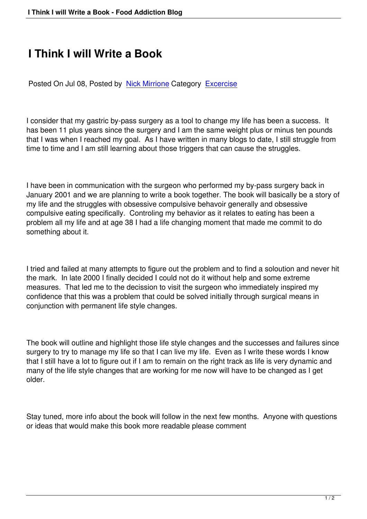## **I Think I will Write a Book**

Posted On Jul 08, Posted by Nick Mirrione Category Excercise

I consider that my gastric by-p[ass surgery as](/index.php?option=com_easyblog&view=blogger&layout=listings&id=63&Itemid=59) a tool to [change my](/index.php?option=com_easyblog&view=categories&layout=listings&id=4&Itemid=59) life has been a success. It has been 11 plus years since the surgery and I am the same weight plus or minus ten pounds that I was when I reached my goal. As I have written in many blogs to date, I still struggle from time to time and I am still learning about those triggers that can cause the struggles.

I have been in communication with the surgeon who performed my by-pass surgery back in January 2001 and we are planning to write a book together. The book will basically be a story of my life and the struggles with obsessive compulsive behavoir generally and obsessive compulsive eating specifically. Controling my behavior as it relates to eating has been a problem all my life and at age 38 I had a life changing moment that made me commit to do something about it.

I tried and failed at many attempts to figure out the problem and to find a soloution and never hit the mark. In late 2000 I finally decided I could not do it without help and some extreme measures. That led me to the decission to visit the surgeon who immediately inspired my confidence that this was a problem that could be solved initially through surgical means in conjunction with permanent life style changes.

The book will outline and highlight those life style changes and the successes and failures since surgery to try to manage my life so that I can live my life. Even as I write these words I know that I still have a lot to figure out if I am to remain on the right track as life is very dynamic and many of the life style changes that are working for me now will have to be changed as I get older.

Stay tuned, more info about the book will follow in the next few months. Anyone with questions or ideas that would make this book more readable please comment